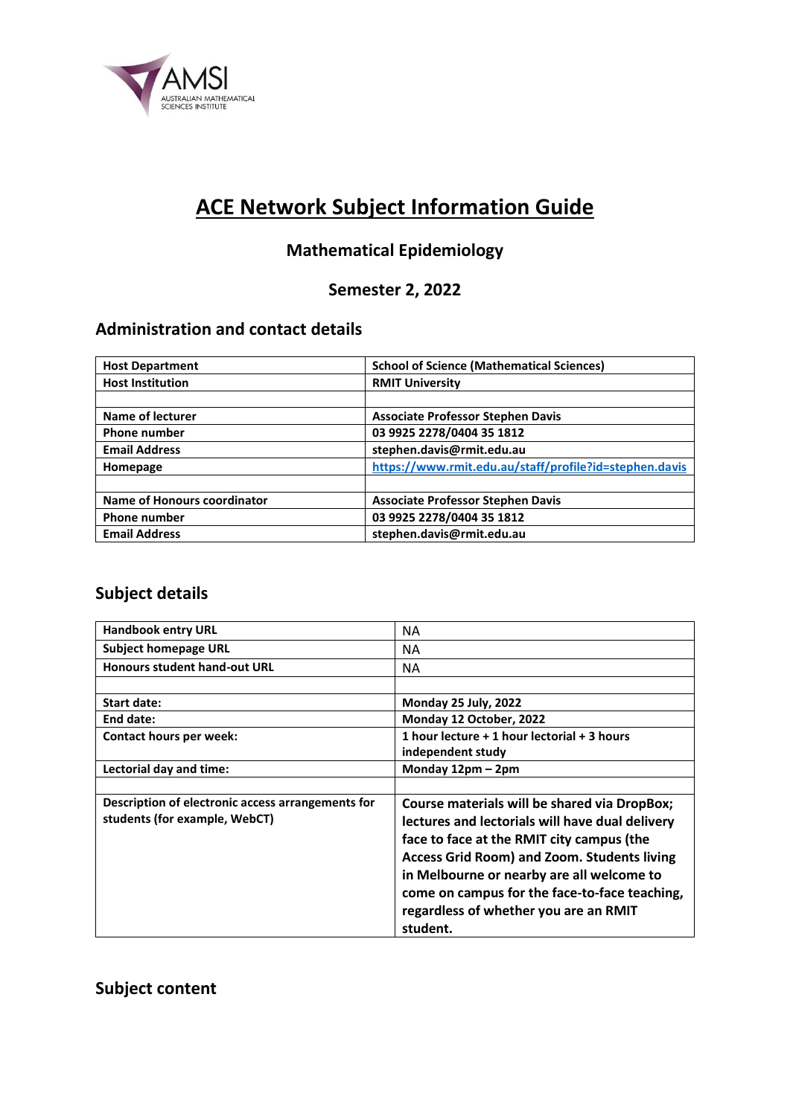

# **ACE Network Subject Information Guide**

### **Mathematical Epidemiology**

### **Semester 2, 2022**

### **Administration and contact details**

| <b>Host Department</b>             | <b>School of Science (Mathematical Sciences)</b>       |
|------------------------------------|--------------------------------------------------------|
| <b>Host Institution</b>            | <b>RMIT University</b>                                 |
|                                    |                                                        |
| <b>Name of lecturer</b>            | <b>Associate Professor Stephen Davis</b>               |
| <b>Phone number</b>                | 03 9925 2278/0404 35 1812                              |
| <b>Email Address</b>               | stephen.davis@rmit.edu.au                              |
| Homepage                           | https://www.rmit.edu.au/staff/profile?id=stephen.davis |
|                                    |                                                        |
| <b>Name of Honours coordinator</b> | <b>Associate Professor Stephen Davis</b>               |
| <b>Phone number</b>                | 03 9925 2278/0404 35 1812                              |
| <b>Email Address</b>               | stephen.davis@rmit.edu.au                              |

### **Subject details**

| <b>Handbook entry URL</b>                         | NА                                                 |
|---------------------------------------------------|----------------------------------------------------|
| <b>Subject homepage URL</b>                       | NA.                                                |
| <b>Honours student hand-out URL</b>               | <b>NA</b>                                          |
|                                                   |                                                    |
| <b>Start date:</b>                                | Monday 25 July, 2022                               |
| End date:                                         | Monday 12 October, 2022                            |
| Contact hours per week:                           | 1 hour lecture + 1 hour lectorial + 3 hours        |
|                                                   | independent study                                  |
| Lectorial day and time:                           | Monday $12pm - 2pm$                                |
|                                                   |                                                    |
| Description of electronic access arrangements for | Course materials will be shared via DropBox;       |
| students (for example, WebCT)                     | lectures and lectorials will have dual delivery    |
|                                                   | face to face at the RMIT city campus (the          |
|                                                   | <b>Access Grid Room) and Zoom. Students living</b> |
|                                                   | in Melbourne or nearby are all welcome to          |
|                                                   | come on campus for the face-to-face teaching,      |
|                                                   | regardless of whether you are an RMIT              |
|                                                   | student.                                           |
|                                                   |                                                    |

### **Subject content**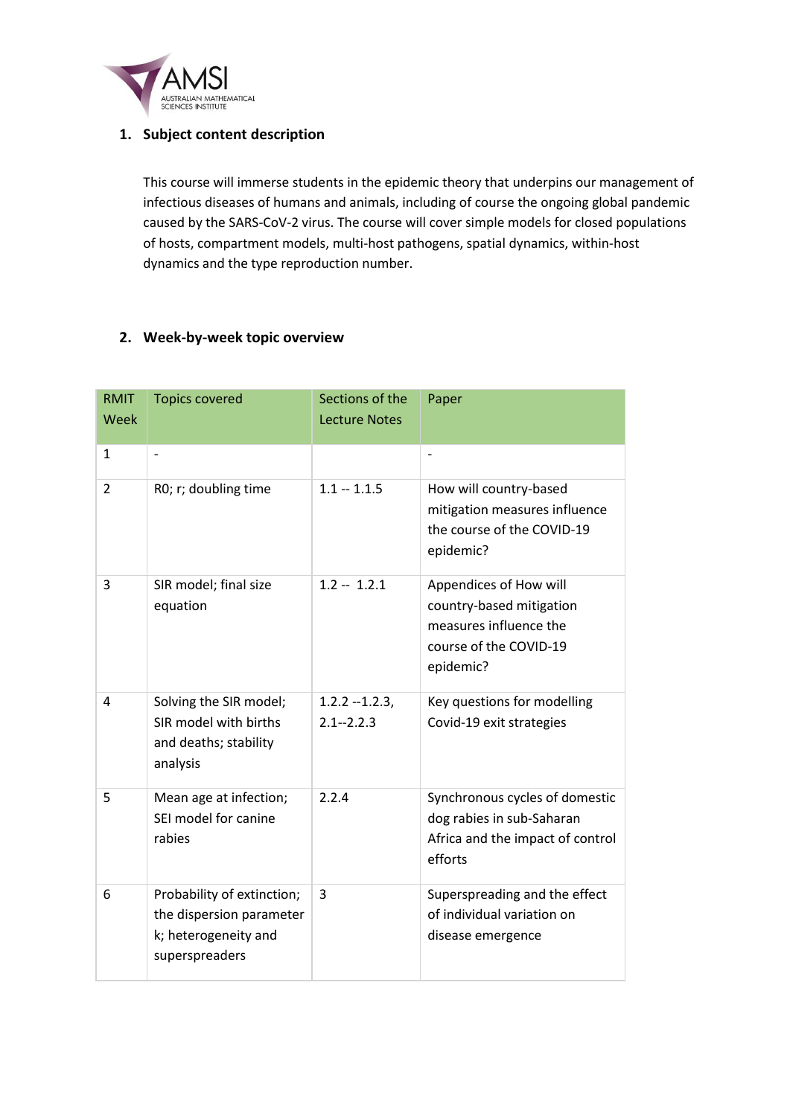

#### **1. Subject content description**

This course will immerse students in the epidemic theory that underpins our management of infectious diseases of humans and animals, including of course the ongoing global pandemic caused by the SARS-CoV-2 virus. The course will cover simple models for closed populations of hosts, compartment models, multi-host pathogens, spatial dynamics, within-host dynamics and the type reproduction number.

#### **2. Week-by-week topic overview**

| <b>RMIT</b><br>Week | <b>Topics covered</b>                                                                            | Sections of the<br><b>Lecture Notes</b> | Paper                                                                                                               |
|---------------------|--------------------------------------------------------------------------------------------------|-----------------------------------------|---------------------------------------------------------------------------------------------------------------------|
| $\mathbf{1}$        | $\overline{a}$                                                                                   |                                         | $\qquad \qquad -$                                                                                                   |
| $\overline{2}$      | R0; r; doubling time                                                                             | $1.1 - 1.1.5$                           | How will country-based<br>mitigation measures influence<br>the course of the COVID-19<br>epidemic?                  |
| 3                   | SIR model; final size<br>equation                                                                | $1.2 - 1.2.1$                           | Appendices of How will<br>country-based mitigation<br>measures influence the<br>course of the COVID-19<br>epidemic? |
| 4                   | Solving the SIR model;<br>SIR model with births<br>and deaths; stability<br>analysis             | $1.2.2 - 1.2.3$<br>$2.1 - 2.2.3$        | Key questions for modelling<br>Covid-19 exit strategies                                                             |
| 5                   | Mean age at infection;<br>SEI model for canine<br>rabies                                         | 2.2.4                                   | Synchronous cycles of domestic<br>dog rabies in sub-Saharan<br>Africa and the impact of control<br>efforts          |
| 6                   | Probability of extinction;<br>the dispersion parameter<br>k; heterogeneity and<br>superspreaders | 3                                       | Superspreading and the effect<br>of individual variation on<br>disease emergence                                    |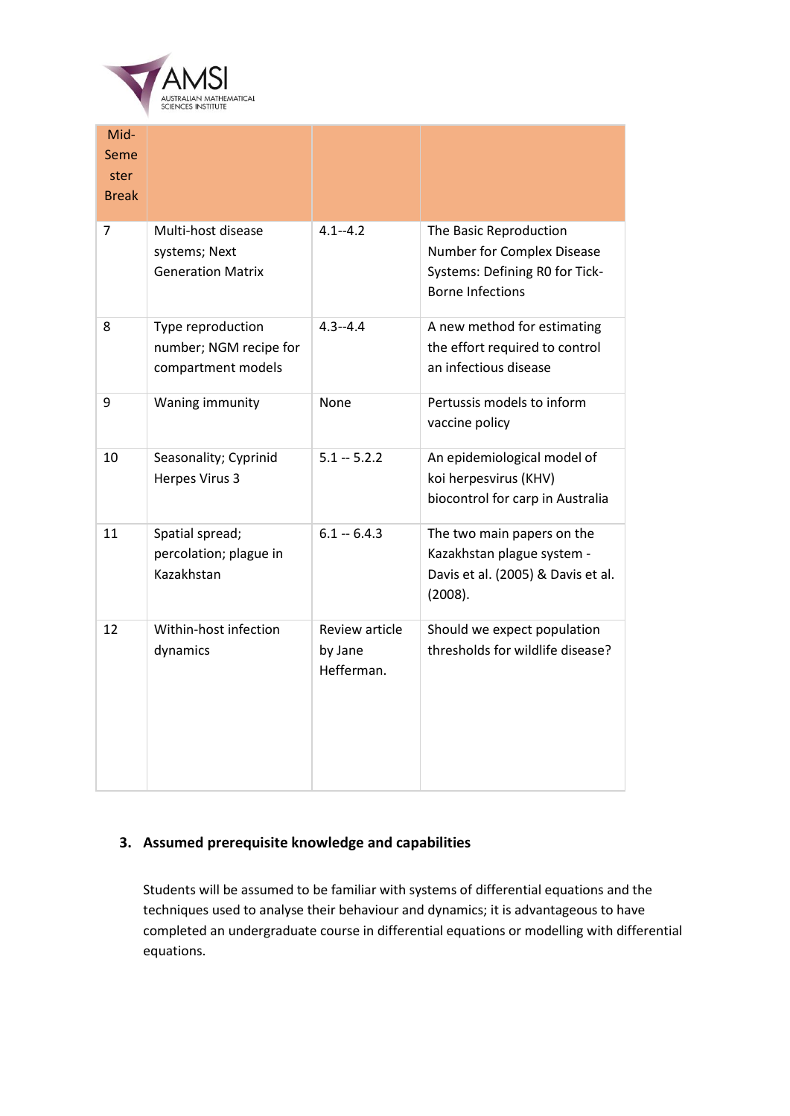

| Mid-<br>Seme<br>ster<br><b>Break</b> |                                                                   |                                         |                                                                                                                   |
|--------------------------------------|-------------------------------------------------------------------|-----------------------------------------|-------------------------------------------------------------------------------------------------------------------|
| 7                                    | Multi-host disease<br>systems; Next<br><b>Generation Matrix</b>   | $4.1 - 4.2$                             | The Basic Reproduction<br>Number for Complex Disease<br>Systems: Defining R0 for Tick-<br><b>Borne Infections</b> |
| 8                                    | Type reproduction<br>number; NGM recipe for<br>compartment models | $4.3 - 4.4$                             | A new method for estimating<br>the effort required to control<br>an infectious disease                            |
| 9                                    | Waning immunity                                                   | None                                    | Pertussis models to inform<br>vaccine policy                                                                      |
| 10                                   | Seasonality; Cyprinid<br>Herpes Virus 3                           | $5.1 - 5.2.2$                           | An epidemiological model of<br>koi herpesvirus (KHV)<br>biocontrol for carp in Australia                          |
| 11                                   | Spatial spread;<br>percolation; plague in<br>Kazakhstan           | $6.1 - 6.4.3$                           | The two main papers on the<br>Kazakhstan plague system -<br>Davis et al. (2005) & Davis et al.<br>(2008).         |
| 12                                   | Within-host infection<br>dynamics                                 | Review article<br>by Jane<br>Hefferman. | Should we expect population<br>thresholds for wildlife disease?                                                   |

#### **3. Assumed prerequisite knowledge and capabilities**

Students will be assumed to be familiar with systems of differential equations and the techniques used to analyse their behaviour and dynamics; it is advantageous to have completed an undergraduate course in differential equations or modelling with differential equations.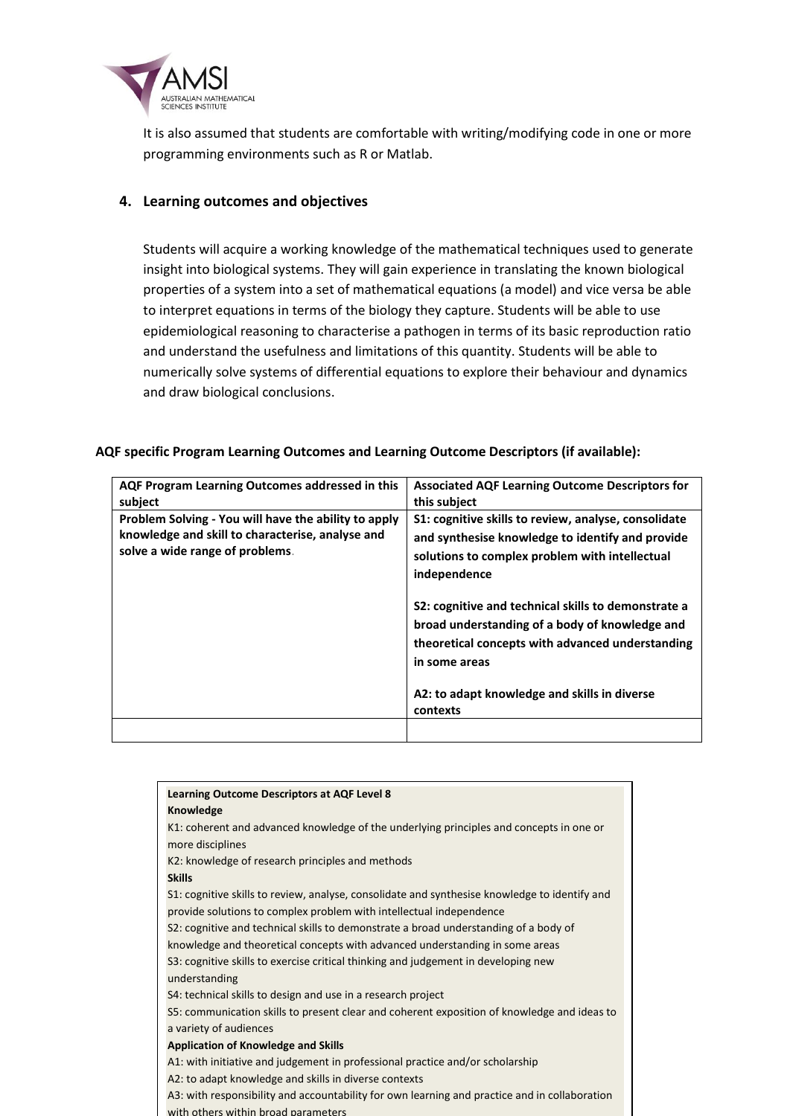

It is also assumed that students are comfortable with writing/modifying code in one or more programming environments such as R or Matlab.

#### **4. Learning outcomes and objectives**

Students will acquire a working knowledge of the mathematical techniques used to generate insight into biological systems. They will gain experience in translating the known biological properties of a system into a set of mathematical equations (a model) and vice versa be able to interpret equations in terms of the biology they capture. Students will be able to use epidemiological reasoning to characterise a pathogen in terms of its basic reproduction ratio and understand the usefulness and limitations of this quantity. Students will be able to numerically solve systems of differential equations to explore their behaviour and dynamics and draw biological conclusions.

|  |  | AQF specific Program Learning Outcomes and Learning Outcome Descriptors (if available): |
|--|--|-----------------------------------------------------------------------------------------|
|--|--|-----------------------------------------------------------------------------------------|

| AQF Program Learning Outcomes addressed in this<br>subject                                                                                  | <b>Associated AQF Learning Outcome Descriptors for</b><br>this subject                                                                                                                                                                                                                                                                                                                                               |
|---------------------------------------------------------------------------------------------------------------------------------------------|----------------------------------------------------------------------------------------------------------------------------------------------------------------------------------------------------------------------------------------------------------------------------------------------------------------------------------------------------------------------------------------------------------------------|
| Problem Solving - You will have the ability to apply<br>knowledge and skill to characterise, analyse and<br>solve a wide range of problems. | S1: cognitive skills to review, analyse, consolidate<br>and synthesise knowledge to identify and provide<br>solutions to complex problem with intellectual<br>independence<br>S2: cognitive and technical skills to demonstrate a<br>broad understanding of a body of knowledge and<br>theoretical concepts with advanced understanding<br>in some areas<br>A2: to adapt knowledge and skills in diverse<br>contexts |
|                                                                                                                                             |                                                                                                                                                                                                                                                                                                                                                                                                                      |

| Learning Outcome Descriptors at AQF Level 8                                                   |
|-----------------------------------------------------------------------------------------------|
| Knowledge                                                                                     |
| K1: coherent and advanced knowledge of the underlying principles and concepts in one or       |
| more disciplines                                                                              |
| K2: knowledge of research principles and methods                                              |
| <b>Skills</b>                                                                                 |
| S1: cognitive skills to review, analyse, consolidate and synthesise knowledge to identify and |
| provide solutions to complex problem with intellectual independence                           |
| S2: cognitive and technical skills to demonstrate a broad understanding of a body of          |
| knowledge and theoretical concepts with advanced understanding in some areas                  |
| S3: cognitive skills to exercise critical thinking and judgement in developing new            |
| understanding                                                                                 |
| S4: technical skills to design and use in a research project                                  |
| S5: communication skills to present clear and coherent exposition of knowledge and ideas to   |
| a variety of audiences                                                                        |
| <b>Application of Knowledge and Skills</b>                                                    |
| A1: with initiative and judgement in professional practice and/or scholarship                 |
| A2: to adapt knowledge and skills in diverse contexts                                         |
| A3: with responsibility and accountability for own learning and practice and in collaboration |
| with others within broad parameters                                                           |